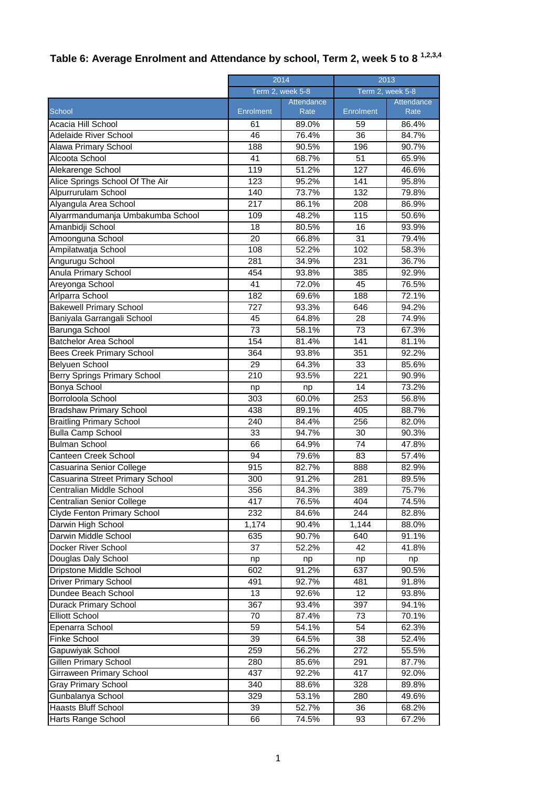## **Table 6: Average Enrolment and Attendance by school, Term 2, week 5 to 8 1,2,3,4**

|                                     | 2014      |                  | 2013            |                  |  |
|-------------------------------------|-----------|------------------|-----------------|------------------|--|
|                                     |           | Term 2, week 5-8 |                 | Term 2, week 5-8 |  |
|                                     |           | Attendance       |                 | Attendance       |  |
| School                              | Enrolment | Rate             | Enrolment       | Rate             |  |
| Acacia Hill School                  | 61        | 89.0%            | 59              | 86.4%            |  |
| <b>Adelaide River School</b>        | 46        | 76.4%            | $\overline{36}$ | 84.7%            |  |
| Alawa Primary School                | 188       | 90.5%            | 196             | 90.7%            |  |
| Alcoota School                      | 41        | 68.7%            | 51              | 65.9%            |  |
| Alekarenge School                   | 119       | 51.2%            | 127             | 46.6%            |  |
| Alice Springs School Of The Air     | 123       | 95.2%            | 141             | 95.8%            |  |
| Alpurrurulam School                 | 140       | 73.7%            | 132             | 79.8%            |  |
| Alyangula Area School               | 217       | 86.1%            | 208             | 86.9%            |  |
| Alyarrmandumanja Umbakumba School   | 109       | 48.2%            | 115             | 50.6%            |  |
| Amanbidji School                    | 18        | 80.5%            | 16              | 93.9%            |  |
| Amoonguna School                    | 20        | 66.8%            | 31              | 79.4%            |  |
| Ampilatwatja School                 | 108       | 52.2%            | 102             | 58.3%            |  |
| Angurugu School                     | 281       | 34.9%            | 231             | 36.7%            |  |
| Anula Primary School                | 454       | 93.8%            | 385             | 92.9%            |  |
| Areyonga School                     | 41        | 72.0%            | 45              | 76.5%            |  |
| Arlparra School                     | 182       | 69.6%            | 188             | 72.1%            |  |
| <b>Bakewell Primary School</b>      | 727       | 93.3%            | 646             | 94.2%            |  |
| Baniyala Garrangali School          | 45        | 64.8%            | 28              | 74.9%            |  |
| Barunga School                      | 73        | 58.1%            | 73              | 67.3%            |  |
| <b>Batchelor Area School</b>        | 154       | 81.4%            | 141             | 81.1%            |  |
| <b>Bees Creek Primary School</b>    | 364       | 93.8%            | 351             | 92.2%            |  |
| Belyuen School                      | 29        | 64.3%            | $\overline{33}$ | 85.6%            |  |
| <b>Berry Springs Primary School</b> | 210       | 93.5%            | 221             | 90.9%            |  |
| <b>Bonya School</b>                 | np        | np               | 14              | 73.2%            |  |
| Borroloola School                   | 303       | 60.0%            | 253             | 56.8%            |  |
| <b>Bradshaw Primary School</b>      | 438       | 89.1%            | 405             | 88.7%            |  |
| <b>Braitling Primary School</b>     | 240       | 84.4%            | 256             | 82.0%            |  |
| <b>Bulla Camp School</b>            | 33        | 94.7%            | 30              | 90.3%            |  |
| <b>Bulman School</b>                | 66        | 64.9%            | 74              | 47.8%            |  |
| Canteen Creek School                | 94        | 79.6%            | 83              | 57.4%            |  |
| Casuarina Senior College            | 915       | 82.7%            | 888             | 82.9%            |  |
| Casuarina Street Primary School     | 300       | 91.2%            | 281             | 89.5%            |  |
| Centralian Middle School            | 356       | 84.3%            | 389             | 75.7%            |  |
| <b>Centralian Senior College</b>    | 417       | 76.5%            | 404             | 74.5%            |  |
| Clyde Fenton Primary School         | 232       | 84.6%            | 244             | 82.8%            |  |
| Darwin High School                  | 1,174     | 90.4%            | 1,144           | 88.0%            |  |
| Darwin Middle School                | 635       | 90.7%            | 640             | 91.1%            |  |
| Docker River School                 | 37        | 52.2%            | 42              | 41.8%            |  |
| Douglas Daly School                 | np        | np               | np              | np               |  |
| Dripstone Middle School             | 602       | 91.2%            | 637             | 90.5%            |  |
| <b>Driver Primary School</b>        | 491       | 92.7%            | 481             | 91.8%            |  |
| Dundee Beach School                 | 13        | 92.6%            | 12              | 93.8%            |  |
| <b>Durack Primary School</b>        | 367       | 93.4%            | 397             | 94.1%            |  |
| <b>Elliott School</b>               | 70        | 87.4%            | 73              | 70.1%            |  |
| Epenarra School                     | 59        | 54.1%            | 54              | 62.3%            |  |
| Finke School                        | 39        | 64.5%            | 38              | 52.4%            |  |
| Gapuwiyak School                    | 259       | 56.2%            | 272             | 55.5%            |  |
| <b>Gillen Primary School</b>        | 280       | 85.6%            | 291             | 87.7%            |  |
| Girraween Primary School            | 437       | 92.2%            | 417             | 92.0%            |  |
| <b>Gray Primary School</b>          | 340       | 88.6%            | 328             | 89.8%            |  |
| Gunbalanya School                   | 329       | 53.1%            | 280             | 49.6%            |  |
| <b>Haasts Bluff School</b>          | 39        | 52.7%            | 36              | 68.2%            |  |
| Harts Range School                  | 66        | 74.5%            | 93              | 67.2%            |  |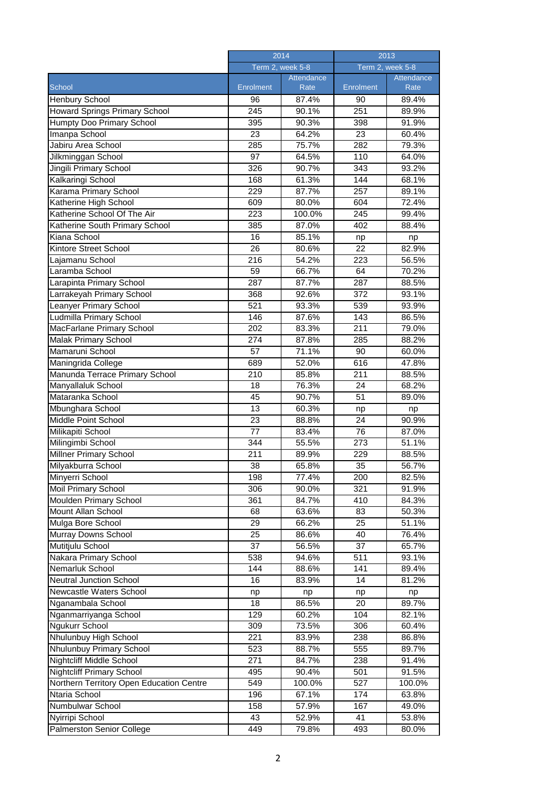|                                                | 2014             |                           | 2013             |                    |
|------------------------------------------------|------------------|---------------------------|------------------|--------------------|
|                                                | Term 2, week 5-8 |                           | Term 2, week 5-8 |                    |
| School                                         | Enrolment        | <b>Attendance</b><br>Rate | Enrolment        | Attendance<br>Rate |
| <b>Henbury School</b>                          | 96               | 87.4%                     | 90               | 89.4%              |
| Howard Springs Primary School                  | 245              | 90.1%                     | 251              | 89.9%              |
| <b>Humpty Doo Primary School</b>               | 395              | 90.3%                     | 398              | 91.9%              |
| Imanpa School                                  | 23               | 64.2%                     | 23               | 60.4%              |
| Jabiru Area School                             | 285              | 75.7%                     | 282              | 79.3%              |
| Jilkminggan School                             | 97               | 64.5%                     | 110              | 64.0%              |
| Jingili Primary School                         | 326              | 90.7%                     | 343              | 93.2%              |
| Kalkaringi School                              | 168              | 61.3%                     | 144              | 68.1%              |
| Karama Primary School                          | 229              | 87.7%                     | 257              | 89.1%              |
| Katherine High School                          | 609              | 80.0%                     | 604              | 72.4%              |
| Katherine School Of The Air                    | 223              | 100.0%                    | 245              | 99.4%              |
|                                                | 385              |                           | 402              |                    |
| Katherine South Primary School<br>Kiana School |                  | 87.0%                     |                  | 88.4%              |
|                                                | 16<br>26         | 85.1%                     | np<br>22         | np                 |
| Kintore Street School                          | 216              | 80.6%                     | 223              | 82.9%              |
| Lajamanu School<br>Laramba School              |                  | 54.2%                     |                  | 56.5%              |
|                                                | 59<br>287        | 66.7%                     | 64               | 70.2%              |
| Larapinta Primary School                       |                  | 87.7%                     | 287              | 88.5%              |
| Larrakeyah Primary School                      | 368              | 92.6%                     | 372              | 93.1%              |
| <b>Leanyer Primary School</b>                  | 521              | 93.3%                     | 539              | 93.9%              |
| Ludmilla Primary School                        | 146              | 87.6%                     | 143              | 86.5%              |
| MacFarlane Primary School                      | 202              | 83.3%                     | 211              | 79.0%              |
| Malak Primary School                           | 274              | 87.8%                     | 285              | 88.2%              |
| Mamaruni School                                | 57               | 71.1%                     | 90               | 60.0%              |
| Maningrida College                             | 689              | 52.0%                     | 616              | 47.8%              |
| Manunda Terrace Primary School                 | 210              | 85.8%                     | 211              | 88.5%              |
| Manyallaluk School                             | 18               | 76.3%                     | 24               | 68.2%              |
| Mataranka School                               | 45               | 90.7%                     | 51               | 89.0%              |
| Mbunghara School                               | $\overline{13}$  | 60.3%                     | np               | np                 |
| Middle Point School                            | $\overline{23}$  | 88.8%                     | $\overline{24}$  | 90.9%              |
| Milikapiti School                              | 77               | 83.4%                     | 76               | 87.0%              |
| Milingimbi School                              | 344              | 55.5%                     | 273              | 51.1%              |
| Millner Primary School                         | 211              | 89.9%                     | 229              | 88.5%              |
| Milyakburra School                             | 38               | 65.8%                     | 35               | 56.7%              |
| Minyerri School                                | 198              | 77.4%                     | 200              | 82.5%              |
| <b>Moil Primary School</b>                     | 306              | 90.0%                     | 321              | 91.9%              |
| Moulden Primary School                         | 361              | 84.7%                     | 410              | 84.3%              |
| Mount Allan School                             | 68               | 63.6%                     | 83               | 50.3%              |
| Mulga Bore School                              | 29               | 66.2%                     | 25               | 51.1%              |
| Murray Downs School                            | 25               | 86.6%                     | 40               | 76.4%              |
| Mutitjulu School                               | 37               | 56.5%                     | 37               | 65.7%              |
| Nakara Primary School                          | 538              | 94.6%                     | 511              | 93.1%              |
| Nemarluk School                                | 144              | 88.6%                     | 141              | 89.4%              |
| <b>Neutral Junction School</b>                 | 16               | 83.9%                     | 14               | 81.2%              |
| Newcastle Waters School                        | np               | np                        | np               | np                 |
| Nganambala School                              | 18               | 86.5%                     | 20               | 89.7%              |
| Nganmarriyanga School                          | 129              | 60.2%                     | 104              | 82.1%              |
| <b>Ngukurr School</b>                          | 309              | 73.5%                     | 306              | 60.4%              |
| Nhulunbuy High School                          | 221              | 83.9%                     | 238              | 86.8%              |
| Nhulunbuy Primary School                       | 523              | 88.7%                     | 555              | 89.7%              |
| Nightcliff Middle School                       | 271              | 84.7%                     | 238              | 91.4%              |
| <b>Nightcliff Primary School</b>               | 495              | 90.4%                     | 501              | 91.5%              |
| Northern Territory Open Education Centre       | 549              | 100.0%                    | 527              | 100.0%             |
| Ntaria School                                  | 196              | 67.1%                     | 174              | 63.8%              |
| Numbulwar School<br>Nyirripi School            | 158<br>43        | 57.9%<br>52.9%            | 167<br>41        | 49.0%              |
|                                                |                  |                           |                  | 53.8%              |
| Palmerston Senior College                      | 449              | 79.8%                     | 493              | 80.0%              |